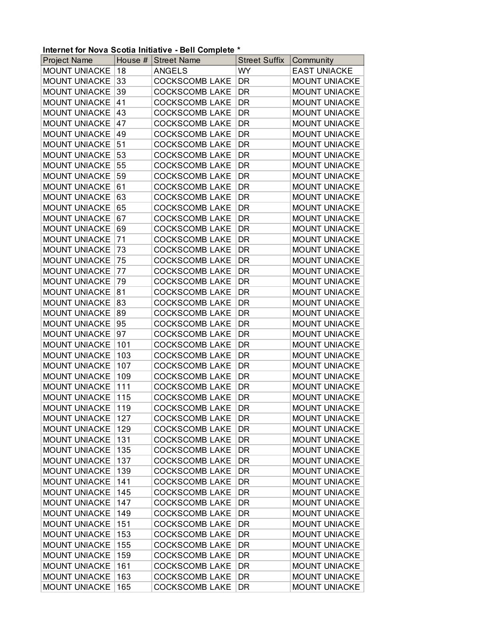## **Internet for Nova Scotia Initiative - Bell Complete \***

| <b>Project Name</b>                          | House $#$  | <b>Street Name</b>                             | <b>Street Suffix</b> | Community                                    |
|----------------------------------------------|------------|------------------------------------------------|----------------------|----------------------------------------------|
| <b>MOUNT UNIACKE</b>                         | 18         | <b>ANGELS</b>                                  | <b>WY</b>            | <b>EAST UNIACKE</b>                          |
| <b>MOUNT UNIACKE</b>                         | 33         | <b>COCKSCOMB LAKE</b>                          | <b>DR</b>            | <b>MOUNT UNIACKE</b>                         |
| <b>MOUNT UNIACKE</b>                         | 39         | <b>COCKSCOMB LAKE</b>                          | DR                   | <b>MOUNT UNIACKE</b>                         |
| <b>MOUNT UNIACKE</b>                         | 41         | <b>COCKSCOMB LAKE</b>                          | DR                   | <b>MOUNT UNIACKE</b>                         |
| <b>MOUNT UNIACKE</b>                         | 43         | <b>COCKSCOMB LAKE</b>                          | <b>DR</b>            | <b>MOUNT UNIACKE</b>                         |
| <b>MOUNT UNIACKE</b>                         | 47         | <b>COCKSCOMB LAKE</b>                          | DR                   | <b>MOUNT UNIACKE</b>                         |
| <b>MOUNT UNIACKE</b>                         | 49         | <b>COCKSCOMB LAKE</b>                          | DR                   | <b>MOUNT UNIACKE</b>                         |
| <b>MOUNT UNIACKE</b>                         | 51         | <b>COCKSCOMB LAKE</b>                          | <b>DR</b>            | <b>MOUNT UNIACKE</b>                         |
| <b>MOUNT UNIACKE</b>                         | 53         | <b>COCKSCOMB LAKE</b>                          | DR                   | <b>MOUNT UNIACKE</b>                         |
| <b>MOUNT UNIACKE</b>                         | 55         | <b>COCKSCOMB LAKE</b>                          | DR                   | <b>MOUNT UNIACKE</b>                         |
| <b>MOUNT UNIACKE</b>                         | 59         | <b>COCKSCOMB LAKE</b>                          | <b>DR</b>            | <b>MOUNT UNIACKE</b>                         |
| <b>MOUNT UNIACKE</b>                         | 61         | <b>COCKSCOMB LAKE</b>                          | DR                   | <b>MOUNT UNIACKE</b>                         |
| <b>MOUNT UNIACKE</b>                         | 63         | <b>COCKSCOMB LAKE</b>                          | DR                   | <b>MOUNT UNIACKE</b>                         |
| <b>MOUNT UNIACKE</b>                         | 65         | <b>COCKSCOMB LAKE</b>                          | DR                   | <b>MOUNT UNIACKE</b>                         |
| <b>MOUNT UNIACKE</b>                         | 67         | <b>COCKSCOMB LAKE</b>                          | DR                   | <b>MOUNT UNIACKE</b>                         |
| <b>MOUNT UNIACKE</b>                         | 69         | <b>COCKSCOMB LAKE</b>                          | DR                   | <b>MOUNT UNIACKE</b>                         |
| <b>MOUNT UNIACKE</b>                         | 71         | <b>COCKSCOMB LAKE</b>                          | <b>DR</b>            | <b>MOUNT UNIACKE</b>                         |
| <b>MOUNT UNIACKE</b>                         | 73         | <b>COCKSCOMB LAKE</b>                          | DR                   | <b>MOUNT UNIACKE</b>                         |
| <b>MOUNT UNIACKE</b>                         | 75         | <b>COCKSCOMB LAKE</b>                          | DR                   | <b>MOUNT UNIACKE</b>                         |
| <b>MOUNT UNIACKE</b>                         | 77         | <b>COCKSCOMB LAKE</b>                          | <b>DR</b>            | <b>MOUNT UNIACKE</b>                         |
| <b>MOUNT UNIACKE</b>                         | 79         | <b>COCKSCOMB LAKE</b>                          | DR                   | <b>MOUNT UNIACKE</b>                         |
| <b>MOUNT UNIACKE</b>                         | 81         | <b>COCKSCOMB LAKE</b>                          | DR                   | <b>MOUNT UNIACKE</b>                         |
| <b>MOUNT UNIACKE</b>                         | 83         | <b>COCKSCOMB LAKE</b>                          | <b>DR</b>            | <b>MOUNT UNIACKE</b>                         |
| <b>MOUNT UNIACKE</b>                         | 89         | <b>COCKSCOMB LAKE</b>                          | DR                   | <b>MOUNT UNIACKE</b>                         |
| <b>MOUNT UNIACKE</b>                         | 95         | <b>COCKSCOMB LAKE</b>                          | DR                   | <b>MOUNT UNIACKE</b>                         |
| <b>MOUNT UNIACKE</b>                         | 97         | <b>COCKSCOMB LAKE</b>                          | DR                   | <b>MOUNT UNIACKE</b>                         |
| <b>MOUNT UNIACKE</b>                         | 101        | <b>COCKSCOMB LAKE</b>                          | DR                   | <b>MOUNT UNIACKE</b>                         |
| <b>MOUNT UNIACKE</b>                         | 103        | <b>COCKSCOMB LAKE</b>                          | DR                   | <b>MOUNT UNIACKE</b>                         |
| <b>MOUNT UNIACKE</b>                         | 107        | <b>COCKSCOMB LAKE</b>                          | <b>DR</b>            | <b>MOUNT UNIACKE</b>                         |
| <b>MOUNT UNIACKE</b>                         | 109        | <b>COCKSCOMB LAKE</b>                          | DR                   | <b>MOUNT UNIACKE</b>                         |
| <b>MOUNT UNIACKE</b>                         | 111        | <b>COCKSCOMB LAKE</b>                          | DR                   | <b>MOUNT UNIACKE</b>                         |
| <b>MOUNT UNIACKE</b>                         | 115        | <b>COCKSCOMB LAKE</b>                          | <b>DR</b>            | <b>MOUNT UNIACKE</b>                         |
| <b>MOUNT UNIACKE</b>                         | 119        | <b>COCKSCOMB LAKE</b>                          | DR                   | <b>MOUNT UNIACKE</b>                         |
| MOUNT UNIACKE 127                            |            | <b>COCKSCOMB LAKE</b>                          | DR                   | <b>MOUNT UNIACKE</b>                         |
| <b>MOUNT UNIACKE</b>                         | 129        | <b>COCKSCOMB LAKE</b>                          | DR                   | <b>MOUNT UNIACKE</b>                         |
| <b>MOUNT UNIACKE</b>                         | 131        | <b>COCKSCOMB LAKE</b>                          | <b>DR</b>            | <b>MOUNT UNIACKE</b>                         |
| <b>MOUNT UNIACKE</b>                         | 135        | <b>COCKSCOMB LAKE</b>                          | DR                   | <b>MOUNT UNIACKE</b>                         |
| <b>MOUNT UNIACKE</b>                         | 137        | <b>COCKSCOMB LAKE</b>                          | DR                   | <b>MOUNT UNIACKE</b>                         |
| <b>MOUNT UNIACKE</b>                         | 139        | <b>COCKSCOMB LAKE</b>                          | DR                   | <b>MOUNT UNIACKE</b>                         |
| <b>MOUNT UNIACKE</b>                         | 141        | <b>COCKSCOMB LAKE</b>                          | DR                   | <b>MOUNT UNIACKE</b>                         |
| <b>MOUNT UNIACKE</b>                         | 145        | <b>COCKSCOMB LAKE</b>                          | DR                   | <b>MOUNT UNIACKE</b>                         |
| <b>MOUNT UNIACKE</b>                         | 147        | <b>COCKSCOMB LAKE</b>                          | <b>DR</b>            | <b>MOUNT UNIACKE</b>                         |
| <b>MOUNT UNIACKE</b>                         | 149        | <b>COCKSCOMB LAKE</b>                          | DR                   | <b>MOUNT UNIACKE</b>                         |
| <b>MOUNT UNIACKE</b>                         | 151        | <b>COCKSCOMB LAKE</b>                          | DR                   | <b>MOUNT UNIACKE</b>                         |
| <b>MOUNT UNIACKE</b>                         | 153        | <b>COCKSCOMB LAKE</b>                          | DR                   | <b>MOUNT UNIACKE</b>                         |
| <b>MOUNT UNIACKE</b>                         | 155        | <b>COCKSCOMB LAKE</b>                          | DR                   | <b>MOUNT UNIACKE</b>                         |
| <b>MOUNT UNIACKE</b><br><b>MOUNT UNIACKE</b> | 159        | <b>COCKSCOMB LAKE</b>                          | DR                   | <b>MOUNT UNIACKE</b><br><b>MOUNT UNIACKE</b> |
| <b>MOUNT UNIACKE</b>                         | 161<br>163 | <b>COCKSCOMB LAKE</b><br><b>COCKSCOMB LAKE</b> | DR<br>DR             | <b>MOUNT UNIACKE</b>                         |
| <b>MOUNT UNIACKE</b>                         | 165        | <b>COCKSCOMB LAKE</b>                          | DR                   |                                              |
|                                              |            |                                                |                      | MOUNT UNIACKE                                |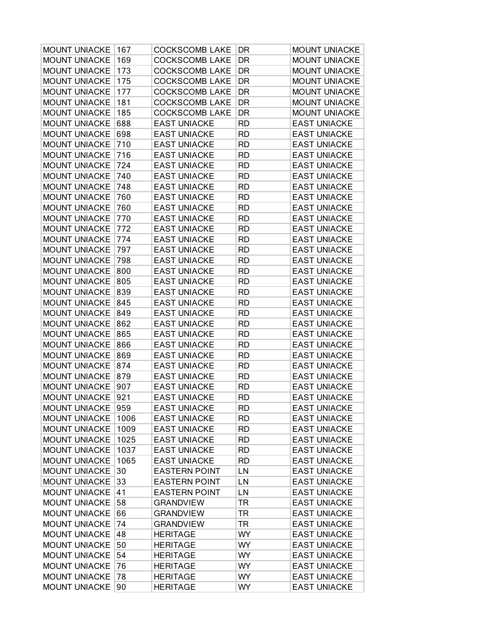| <b>MOUNT UNIACKE</b> | 167  | <b>COCKSCOMB LAKE</b> | DR        | <b>MOUNT UNIACKE</b> |
|----------------------|------|-----------------------|-----------|----------------------|
| <b>MOUNT UNIACKE</b> | 169  | <b>COCKSCOMB LAKE</b> | DR        | <b>MOUNT UNIACKE</b> |
| <b>MOUNT UNIACKE</b> | 173  | <b>COCKSCOMB LAKE</b> | DR        | <b>MOUNT UNIACKE</b> |
| <b>MOUNT UNIACKE</b> | 175  | <b>COCKSCOMB LAKE</b> | DR        | <b>MOUNT UNIACKE</b> |
| <b>MOUNT UNIACKE</b> | 177  | <b>COCKSCOMB LAKE</b> | DR        | <b>MOUNT UNIACKE</b> |
| <b>MOUNT UNIACKE</b> | 181  | <b>COCKSCOMB LAKE</b> | DR        | <b>MOUNT UNIACKE</b> |
| <b>MOUNT UNIACKE</b> | 185  | <b>COCKSCOMB LAKE</b> | DR        | <b>MOUNT UNIACKE</b> |
| <b>MOUNT UNIACKE</b> | 688  | <b>EAST UNIACKE</b>   | RD        | <b>EAST UNIACKE</b>  |
| <b>MOUNT UNIACKE</b> | 698  | <b>EAST UNIACKE</b>   | <b>RD</b> | <b>EAST UNIACKE</b>  |
| <b>MOUNT UNIACKE</b> | 710  | <b>EAST UNIACKE</b>   | <b>RD</b> | <b>EAST UNIACKE</b>  |
| <b>MOUNT UNIACKE</b> | 716  | <b>EAST UNIACKE</b>   | <b>RD</b> | <b>EAST UNIACKE</b>  |
| <b>MOUNT UNIACKE</b> | 724  | <b>EAST UNIACKE</b>   | <b>RD</b> | <b>EAST UNIACKE</b>  |
| <b>MOUNT UNIACKE</b> | 740  | <b>EAST UNIACKE</b>   | RD        | <b>EAST UNIACKE</b>  |
| <b>MOUNT UNIACKE</b> | 748  | <b>EAST UNIACKE</b>   | RD        | <b>EAST UNIACKE</b>  |
| <b>MOUNT UNIACKE</b> | 760  | <b>EAST UNIACKE</b>   | <b>RD</b> | <b>EAST UNIACKE</b>  |
| <b>MOUNT UNIACKE</b> | 760  | <b>EAST UNIACKE</b>   | <b>RD</b> | <b>EAST UNIACKE</b>  |
| <b>MOUNT UNIACKE</b> | 770  | <b>EAST UNIACKE</b>   | <b>RD</b> | <b>EAST UNIACKE</b>  |
| <b>MOUNT UNIACKE</b> | 772  | <b>EAST UNIACKE</b>   | <b>RD</b> | <b>EAST UNIACKE</b>  |
| <b>MOUNT UNIACKE</b> | 774  | <b>EAST UNIACKE</b>   | RD        | <b>EAST UNIACKE</b>  |
| <b>MOUNT UNIACKE</b> | 797  | <b>EAST UNIACKE</b>   | RD        | <b>EAST UNIACKE</b>  |
| <b>MOUNT UNIACKE</b> | 798  | <b>EAST UNIACKE</b>   | <b>RD</b> | <b>EAST UNIACKE</b>  |
| <b>MOUNT UNIACKE</b> | 800  | <b>EAST UNIACKE</b>   | <b>RD</b> | <b>EAST UNIACKE</b>  |
| <b>MOUNT UNIACKE</b> | 805  | <b>EAST UNIACKE</b>   | <b>RD</b> | <b>EAST UNIACKE</b>  |
| <b>MOUNT UNIACKE</b> | 839  | <b>EAST UNIACKE</b>   | <b>RD</b> | <b>EAST UNIACKE</b>  |
| <b>MOUNT UNIACKE</b> | 845  | <b>EAST UNIACKE</b>   | RD        | <b>EAST UNIACKE</b>  |
| <b>MOUNT UNIACKE</b> | 849  | <b>EAST UNIACKE</b>   | RD        | <b>EAST UNIACKE</b>  |
| <b>MOUNT UNIACKE</b> | 862  | <b>EAST UNIACKE</b>   | <b>RD</b> | <b>EAST UNIACKE</b>  |
| MOUNT UNIACKE        | 865  | <b>EAST UNIACKE</b>   | <b>RD</b> | <b>EAST UNIACKE</b>  |
| <b>MOUNT UNIACKE</b> | 866  | <b>EAST UNIACKE</b>   | <b>RD</b> | <b>EAST UNIACKE</b>  |
| <b>MOUNT UNIACKE</b> | 869  | <b>EAST UNIACKE</b>   | <b>RD</b> | <b>EAST UNIACKE</b>  |
| <b>MOUNT UNIACKE</b> | 874  | <b>EAST UNIACKE</b>   | RD        | <b>EAST UNIACKE</b>  |
| <b>MOUNT UNIACKE</b> | 879  | <b>EAST UNIACKE</b>   | RD        | <b>EAST UNIACKE</b>  |
| <b>MOUNT UNIACKE</b> | 907  | <b>EAST UNIACKE</b>   | <b>RD</b> | <b>EAST UNIACKE</b>  |
| <b>MOUNT UNIACKE</b> | 921  | <b>EAST UNIACKE</b>   | <b>RD</b> | <b>EAST UNIACKE</b>  |
| MOUNT UNIACKE        | 959  | <b>EAST UNIACKE</b>   | <b>RD</b> | <b>EAST UNIACKE</b>  |
| <b>MOUNT UNIACKE</b> | 1006 | <b>EAST UNIACKE</b>   | RD        | <b>EAST UNIACKE</b>  |
| <b>MOUNT UNIACKE</b> | 1009 | <b>EAST UNIACKE</b>   | <b>RD</b> | <b>EAST UNIACKE</b>  |
| <b>MOUNT UNIACKE</b> | 1025 | <b>EAST UNIACKE</b>   | <b>RD</b> | <b>EAST UNIACKE</b>  |
| <b>MOUNT UNIACKE</b> | 1037 | <b>EAST UNIACKE</b>   | <b>RD</b> | <b>EAST UNIACKE</b>  |
| <b>MOUNT UNIACKE</b> | 1065 | <b>EAST UNIACKE</b>   | <b>RD</b> | <b>EAST UNIACKE</b>  |
| <b>MOUNT UNIACKE</b> | 30   | <b>EASTERN POINT</b>  | LN        | <b>EAST UNIACKE</b>  |
| <b>MOUNT UNIACKE</b> | 33   | <b>EASTERN POINT</b>  | LN        | <b>EAST UNIACKE</b>  |
| <b>MOUNT UNIACKE</b> | 41   | <b>EASTERN POINT</b>  | LN        | <b>EAST UNIACKE</b>  |
| <b>MOUNT UNIACKE</b> | 58   | <b>GRANDVIEW</b>      | <b>TR</b> | <b>EAST UNIACKE</b>  |
| <b>MOUNT UNIACKE</b> | 66   | <b>GRANDVIEW</b>      | <b>TR</b> | <b>EAST UNIACKE</b>  |
| <b>MOUNT UNIACKE</b> | 74   | <b>GRANDVIEW</b>      | <b>TR</b> | <b>EAST UNIACKE</b>  |
| <b>MOUNT UNIACKE</b> | 48   | <b>HERITAGE</b>       | <b>WY</b> | <b>EAST UNIACKE</b>  |
| <b>MOUNT UNIACKE</b> | 50   | <b>HERITAGE</b>       | <b>WY</b> | <b>EAST UNIACKE</b>  |
| <b>MOUNT UNIACKE</b> | 54   | <b>HERITAGE</b>       | <b>WY</b> | <b>EAST UNIACKE</b>  |
| <b>MOUNT UNIACKE</b> | 76   | <b>HERITAGE</b>       | WY.       | <b>EAST UNIACKE</b>  |
| <b>MOUNT UNIACKE</b> | 78   | <b>HERITAGE</b>       | <b>WY</b> | <b>EAST UNIACKE</b>  |
| MOUNT UNIACKE        | 90   | <b>HERITAGE</b>       | WY        | <b>EAST UNIACKE</b>  |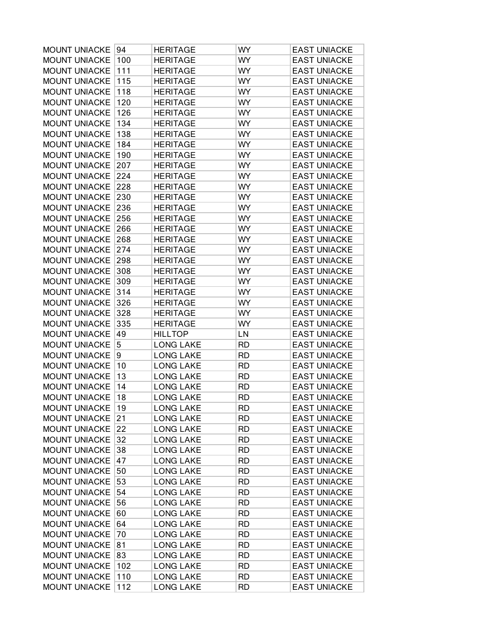| <b>MOUNT UNIACKE</b> | 94  | <b>HERITAGE</b>  | WY        | <b>EAST UNIACKE</b> |
|----------------------|-----|------------------|-----------|---------------------|
| <b>MOUNT UNIACKE</b> | 100 | <b>HERITAGE</b>  | WY        | <b>EAST UNIACKE</b> |
| <b>MOUNT UNIACKE</b> | 111 | <b>HERITAGE</b>  | WY        | <b>EAST UNIACKE</b> |
| <b>MOUNT UNIACKE</b> | 115 | <b>HERITAGE</b>  | WY        | <b>EAST UNIACKE</b> |
| <b>MOUNT UNIACKE</b> | 118 | <b>HERITAGE</b>  | WY        | <b>EAST UNIACKE</b> |
| <b>MOUNT UNIACKE</b> | 120 | <b>HERITAGE</b>  | WY        | <b>EAST UNIACKE</b> |
| <b>MOUNT UNIACKE</b> | 126 | <b>HERITAGE</b>  | WY        | <b>EAST UNIACKE</b> |
| <b>MOUNT UNIACKE</b> | 134 | <b>HERITAGE</b>  | WY        | <b>EAST UNIACKE</b> |
| <b>MOUNT UNIACKE</b> | 138 | <b>HERITAGE</b>  | WY        | <b>EAST UNIACKE</b> |
| <b>MOUNT UNIACKE</b> | 184 | <b>HERITAGE</b>  | WY        | <b>EAST UNIACKE</b> |
| <b>MOUNT UNIACKE</b> | 190 | <b>HERITAGE</b>  | WY        | <b>EAST UNIACKE</b> |
| <b>MOUNT UNIACKE</b> | 207 | <b>HERITAGE</b>  | WY        | <b>EAST UNIACKE</b> |
| <b>MOUNT UNIACKE</b> | 224 | <b>HERITAGE</b>  | WY        | <b>EAST UNIACKE</b> |
| <b>MOUNT UNIACKE</b> | 228 | <b>HERITAGE</b>  | WY        | <b>EAST UNIACKE</b> |
| <b>MOUNT UNIACKE</b> | 230 | <b>HERITAGE</b>  | WY        | <b>EAST UNIACKE</b> |
| <b>MOUNT UNIACKE</b> | 236 | <b>HERITAGE</b>  | WY        | <b>EAST UNIACKE</b> |
| <b>MOUNT UNIACKE</b> | 256 | <b>HERITAGE</b>  | WY        | <b>EAST UNIACKE</b> |
| <b>MOUNT UNIACKE</b> | 266 | <b>HERITAGE</b>  | WY        | <b>EAST UNIACKE</b> |
| <b>MOUNT UNIACKE</b> | 268 | <b>HERITAGE</b>  | WY        | <b>EAST UNIACKE</b> |
| <b>MOUNT UNIACKE</b> | 274 | <b>HERITAGE</b>  | WY        | <b>EAST UNIACKE</b> |
| <b>MOUNT UNIACKE</b> | 298 | <b>HERITAGE</b>  | WY        | <b>EAST UNIACKE</b> |
| <b>MOUNT UNIACKE</b> | 308 | <b>HERITAGE</b>  | WY        | <b>EAST UNIACKE</b> |
| <b>MOUNT UNIACKE</b> | 309 | <b>HERITAGE</b>  | WY        | <b>EAST UNIACKE</b> |
| <b>MOUNT UNIACKE</b> | 314 | <b>HERITAGE</b>  | WY        | <b>EAST UNIACKE</b> |
| <b>MOUNT UNIACKE</b> | 326 | <b>HERITAGE</b>  | WY        | <b>EAST UNIACKE</b> |
| <b>MOUNT UNIACKE</b> | 328 | <b>HERITAGE</b>  | WY        | <b>EAST UNIACKE</b> |
| <b>MOUNT UNIACKE</b> | 335 | <b>HERITAGE</b>  | WY        | <b>EAST UNIACKE</b> |
| <b>MOUNT UNIACKE</b> | 49  | <b>HILLTOP</b>   | LN        | <b>EAST UNIACKE</b> |
| <b>MOUNT UNIACKE</b> | 5   | <b>LONG LAKE</b> | <b>RD</b> | <b>EAST UNIACKE</b> |
| <b>MOUNT UNIACKE</b> | 9   | <b>LONG LAKE</b> | <b>RD</b> | <b>EAST UNIACKE</b> |
| <b>MOUNT UNIACKE</b> | 10  | <b>LONG LAKE</b> | RD        | <b>EAST UNIACKE</b> |
| <b>MOUNT UNIACKE</b> | 13  | <b>LONG LAKE</b> | <b>RD</b> | <b>EAST UNIACKE</b> |
| <b>MOUNT UNIACKE</b> | 14  | <b>LONG LAKE</b> | <b>RD</b> | <b>EAST UNIACKE</b> |
| <b>MOUNT UNIACKE</b> | 18  | <b>LONG LAKE</b> | <b>RD</b> | <b>EAST UNIACKE</b> |
| MOUNT UNIACKE        | 19  | <b>LONG LAKE</b> | <b>RD</b> | <b>EAST UNIACKE</b> |
| <b>MOUNT UNIACKE</b> | 21  | <b>LONG LAKE</b> | RD        | <b>EAST UNIACKE</b> |
| <b>MOUNT UNIACKE</b> | 22  | <b>LONG LAKE</b> | <b>RD</b> | <b>EAST UNIACKE</b> |
| <b>MOUNT UNIACKE</b> | 32  | <b>LONG LAKE</b> | <b>RD</b> | <b>EAST UNIACKE</b> |
| <b>MOUNT UNIACKE</b> | 38  | <b>LONG LAKE</b> | <b>RD</b> | <b>EAST UNIACKE</b> |
| <b>MOUNT UNIACKE</b> | 47  | <b>LONG LAKE</b> | <b>RD</b> | <b>EAST UNIACKE</b> |
| MOUNT UNIACKE        | 50  | <b>LONG LAKE</b> | RD        | <b>EAST UNIACKE</b> |
| <b>MOUNT UNIACKE</b> | 53  | <b>LONG LAKE</b> | RD        | <b>EAST UNIACKE</b> |
| MOUNT UNIACKE        | 54  | <b>LONG LAKE</b> | RD        | <b>EAST UNIACKE</b> |
| <b>MOUNT UNIACKE</b> | 56  | <b>LONG LAKE</b> | <b>RD</b> | <b>EAST UNIACKE</b> |
| <b>MOUNT UNIACKE</b> | 60  | <b>LONG LAKE</b> | <b>RD</b> | <b>EAST UNIACKE</b> |
| <b>MOUNT UNIACKE</b> | 64  | <b>LONG LAKE</b> | <b>RD</b> | <b>EAST UNIACKE</b> |
| <b>MOUNT UNIACKE</b> | 70  | <b>LONG LAKE</b> | RD        | <b>EAST UNIACKE</b> |
| <b>MOUNT UNIACKE</b> | 81  | <b>LONG LAKE</b> | RD        | <b>EAST UNIACKE</b> |
| <b>MOUNT UNIACKE</b> | 83  | <b>LONG LAKE</b> | RD        | <b>EAST UNIACKE</b> |
| <b>MOUNT UNIACKE</b> | 102 | <b>LONG LAKE</b> | <b>RD</b> | <b>EAST UNIACKE</b> |
| <b>MOUNT UNIACKE</b> | 110 | <b>LONG LAKE</b> | <b>RD</b> | <b>EAST UNIACKE</b> |
| <b>MOUNT UNIACKE</b> | 112 | <b>LONG LAKE</b> | <b>RD</b> | <b>EAST UNIACKE</b> |
|                      |     |                  |           |                     |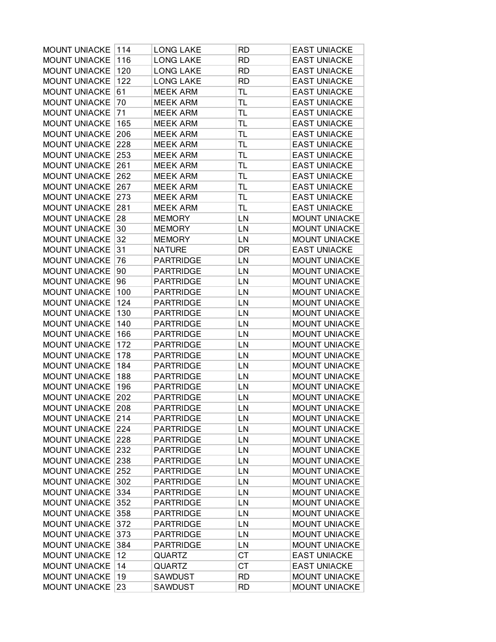| <b>MOUNT UNIACKE</b><br>114<br><b>LONG LAKE</b><br>RD.       | <b>EAST UNIACKE</b>  |
|--------------------------------------------------------------|----------------------|
| <b>MOUNT UNIACKE</b><br>116<br><b>LONG LAKE</b><br><b>RD</b> | <b>EAST UNIACKE</b>  |
| <b>LONG LAKE</b><br><b>MOUNT UNIACKE</b><br>120<br><b>RD</b> | <b>EAST UNIACKE</b>  |
| 122<br><b>MOUNT UNIACKE</b><br><b>LONG LAKE</b><br><b>RD</b> | <b>EAST UNIACKE</b>  |
| <b>MOUNT UNIACKE</b><br>61<br><b>MEEK ARM</b><br>TL          | <b>EAST UNIACKE</b>  |
| <b>MOUNT UNIACKE</b><br>70<br><b>MEEK ARM</b><br><b>TL</b>   | <b>EAST UNIACKE</b>  |
| 71<br><b>MOUNT UNIACKE</b><br><b>TL</b><br><b>MEEK ARM</b>   | <b>EAST UNIACKE</b>  |
| <b>MOUNT UNIACKE</b><br>165<br><b>MEEK ARM</b><br>TL         | <b>EAST UNIACKE</b>  |
| <b>MOUNT UNIACKE</b><br>206<br><b>MEEK ARM</b><br><b>TL</b>  | <b>EAST UNIACKE</b>  |
| <b>MOUNT UNIACKE</b><br>228<br><b>MEEK ARM</b><br><b>TL</b>  | <b>EAST UNIACKE</b>  |
| <b>MOUNT UNIACKE</b><br>253<br><b>MEEK ARM</b><br>TL         | <b>EAST UNIACKE</b>  |
| <b>MOUNT UNIACKE</b><br>261<br><b>MEEK ARM</b><br><b>TL</b>  | <b>EAST UNIACKE</b>  |
| <b>MOUNT UNIACKE</b><br>262<br><b>MEEK ARM</b><br>TL         | <b>EAST UNIACKE</b>  |
| <b>MOUNT UNIACKE</b><br>267<br><b>MEEK ARM</b><br>TL         | <b>EAST UNIACKE</b>  |
| <b>MOUNT UNIACKE</b><br>273<br><b>MEEK ARM</b><br><b>TL</b>  | <b>EAST UNIACKE</b>  |
| 281<br><b>TL</b><br><b>MOUNT UNIACKE</b><br><b>MEEK ARM</b>  | <b>EAST UNIACKE</b>  |
| <b>MOUNT UNIACKE</b><br>28<br><b>MEMORY</b><br>LN            | <b>MOUNT UNIACKE</b> |
| <b>MOUNT UNIACKE</b><br>30<br><b>MEMORY</b><br>LN            | <b>MOUNT UNIACKE</b> |
| 32<br><b>MOUNT UNIACKE</b><br><b>MEMORY</b><br>LN            | <b>MOUNT UNIACKE</b> |
| <b>MOUNT UNIACKE</b><br>31<br><b>NATURE</b><br>DR            | <b>EAST UNIACKE</b>  |
| <b>MOUNT UNIACKE</b><br>76<br><b>PARTRIDGE</b><br>LN         | <b>MOUNT UNIACKE</b> |
| <b>MOUNT UNIACKE</b><br>90<br><b>PARTRIDGE</b><br>LN         | <b>MOUNT UNIACKE</b> |
| 96<br><b>MOUNT UNIACKE</b><br><b>PARTRIDGE</b><br>LN         | <b>MOUNT UNIACKE</b> |
| <b>MOUNT UNIACKE</b><br>100<br><b>PARTRIDGE</b><br>LN        | <b>MOUNT UNIACKE</b> |
| <b>MOUNT UNIACKE</b><br>124<br><b>PARTRIDGE</b><br>LN        | <b>MOUNT UNIACKE</b> |
| <b>MOUNT UNIACKE</b><br>130<br><b>PARTRIDGE</b><br>LN        | <b>MOUNT UNIACKE</b> |
| <b>MOUNT UNIACKE</b><br>140<br><b>PARTRIDGE</b><br>LN        | <b>MOUNT UNIACKE</b> |
| 166<br><b>PARTRIDGE</b><br>LN<br><b>MOUNT UNIACKE</b>        | <b>MOUNT UNIACKE</b> |
| <b>MOUNT UNIACKE</b><br>172<br><b>PARTRIDGE</b><br>LN        | <b>MOUNT UNIACKE</b> |
| <b>MOUNT UNIACKE</b><br><b>PARTRIDGE</b><br>178<br>LN        | <b>MOUNT UNIACKE</b> |
| <b>MOUNT UNIACKE</b><br>184<br><b>PARTRIDGE</b><br>LN        | <b>MOUNT UNIACKE</b> |
| <b>MOUNT UNIACKE</b><br>188<br><b>PARTRIDGE</b><br>LN        | <b>MOUNT UNIACKE</b> |
| <b>MOUNT UNIACKE</b><br>196<br><b>PARTRIDGE</b><br>LN        | <b>MOUNT UNIACKE</b> |
| 202<br><b>MOUNT UNIACKE</b><br><b>PARTRIDGE</b><br>LN        | <b>MOUNT UNIACKE</b> |
| MOUNT UNIACKE<br>208<br><b>PARTRIDGE</b><br>LN               | <b>MOUNT UNIACKE</b> |
| <b>MOUNT UNIACKE</b><br>214<br><b>PARTRIDGE</b><br>LN        | <b>MOUNT UNIACKE</b> |
| <b>MOUNT UNIACKE</b><br>224<br><b>PARTRIDGE</b><br>LN        | <b>MOUNT UNIACKE</b> |
| <b>MOUNT UNIACKE</b><br>228<br><b>PARTRIDGE</b><br>LN        | <b>MOUNT UNIACKE</b> |
| <b>MOUNT UNIACKE</b><br>232<br><b>PARTRIDGE</b><br>LN        | <b>MOUNT UNIACKE</b> |
| <b>MOUNT UNIACKE</b><br>238<br><b>PARTRIDGE</b><br>LN        | <b>MOUNT UNIACKE</b> |
| <b>MOUNT UNIACKE</b><br>252<br><b>PARTRIDGE</b><br>LN        | <b>MOUNT UNIACKE</b> |
| <b>MOUNT UNIACKE</b><br>302<br><b>PARTRIDGE</b><br>LN        | <b>MOUNT UNIACKE</b> |
| <b>MOUNT UNIACKE</b><br>334<br><b>PARTRIDGE</b><br>LN        | <b>MOUNT UNIACKE</b> |
| <b>MOUNT UNIACKE</b><br>352<br><b>PARTRIDGE</b><br>LN        | <b>MOUNT UNIACKE</b> |
| <b>MOUNT UNIACKE</b><br>358<br><b>PARTRIDGE</b><br>LN        | <b>MOUNT UNIACKE</b> |
| 372<br><b>MOUNT UNIACKE</b><br><b>PARTRIDGE</b><br>LN        | <b>MOUNT UNIACKE</b> |
| <b>MOUNT UNIACKE</b><br>373<br><b>PARTRIDGE</b><br>LN        | <b>MOUNT UNIACKE</b> |
| <b>MOUNT UNIACKE</b><br>384<br><b>PARTRIDGE</b><br>LN        | <b>MOUNT UNIACKE</b> |
| <b>MOUNT UNIACKE</b><br>12<br><b>QUARTZ</b><br><b>CT</b>     | <b>EAST UNIACKE</b>  |
| <b>MOUNT UNIACKE</b><br>14<br><b>QUARTZ</b><br>СT            | <b>EAST UNIACKE</b>  |
| <b>MOUNT UNIACKE</b><br>19<br><b>SAWDUST</b><br><b>RD</b>    | <b>MOUNT UNIACKE</b> |
| <b>MOUNT UNIACKE</b><br>23<br><b>SAWDUST</b><br><b>RD</b>    | MOUNT UNIACKE        |